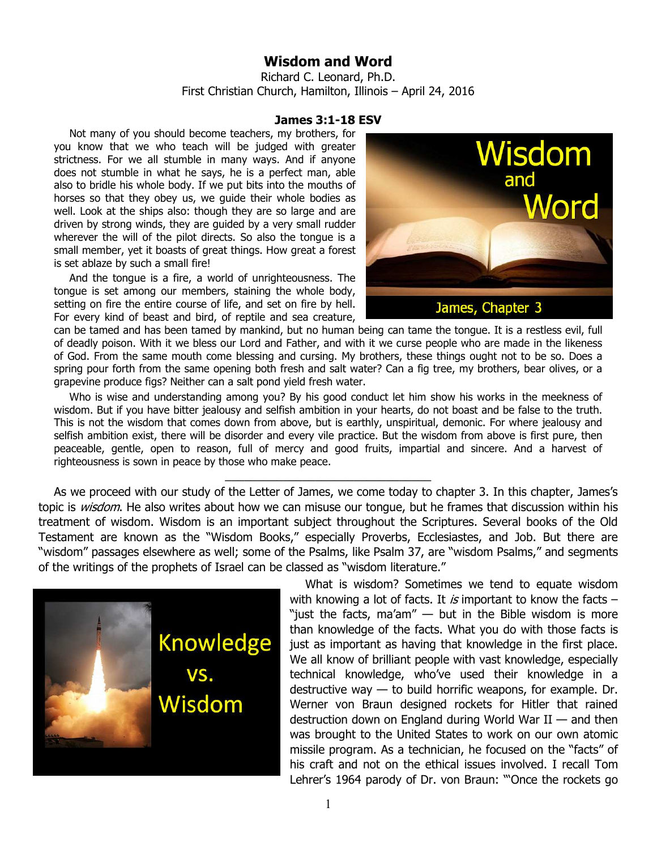## **Wisdom and Word**

Richard C. Leonard, Ph.D. First Christian Church, Hamilton, Illinois – April 24, 2016

## **James 3:1-18 ESV**

Not many of you should become teachers, my brothers, for you know that we who teach will be judged with greater strictness. For we all stumble in many ways. And if anyone does not stumble in what he says, he is a perfect man, able also to bridle his whole body. If we put bits into the mouths of horses so that they obey us, we guide their whole bodies as well. Look at the ships also: though they are so large and are driven by strong winds, they are guided by a very small rudder wherever the will of the pilot directs. So also the tongue is a small member, yet it boasts of great things. How great a forest is set ablaze by such a small fire!

And the tongue is a fire, a world of unrighteousness. The tongue is set among our members, staining the whole body, setting on fire the entire course of life, and set on fire by hell. For every kind of beast and bird, of reptile and sea creature,



can be tamed and has been tamed by mankind, but no human being can tame the tongue. It is a restless evil, full of deadly poison. With it we bless our Lord and Father, and with it we curse people who are made in the likeness of God. From the same mouth come blessing and cursing. My brothers, these things ought not to be so. Does a spring pour forth from the same opening both fresh and salt water? Can a fig tree, my brothers, bear olives, or a grapevine produce figs? Neither can a salt pond yield fresh water.

Who is wise and understanding among you? By his good conduct let him show his works in the meekness of wisdom. But if you have bitter jealousy and selfish ambition in your hearts, do not boast and be false to the truth. This is not the wisdom that comes down from above, but is earthly, unspiritual, demonic. For where jealousy and selfish ambition exist, there will be disorder and every vile practice. But the wisdom from above is first pure, then peaceable, gentle, open to reason, full of mercy and good fruits, impartial and sincere. And a harvest of righteousness is sown in peace by those who make peace.

\_\_\_\_\_\_\_\_\_\_\_\_\_\_\_\_\_\_\_\_\_\_\_\_\_\_\_\_\_\_\_\_

As we proceed with our study of the Letter of James, we come today to chapter 3. In this chapter, James's topic is *wisdom*. He also writes about how we can misuse our tongue, but he frames that discussion within his treatment of wisdom. Wisdom is an important subject throughout the Scriptures. Several books of the Old Testament are known as the "Wisdom Books," especially Proverbs, Ecclesiastes, and Job. But there are "wisdom" passages elsewhere as well; some of the Psalms, like Psalm 37, are "wisdom Psalms," and segments of the writings of the prophets of Israel can be classed as "wisdom literature."



What is wisdom? Sometimes we tend to equate wisdom with knowing a lot of facts. It is important to know the facts  $-$ "just the facts, ma'am"  $-$  but in the Bible wisdom is more than knowledge of the facts. What you do with those facts is just as important as having that knowledge in the first place. We all know of brilliant people with vast knowledge, especially technical knowledge, who've used their knowledge in a destructive way  $-$  to build horrific weapons, for example. Dr. Werner von Braun designed rockets for Hitler that rained destruction down on England during World War  $II$  — and then was brought to the United States to work on our own atomic missile program. As a technician, he focused on the "facts" of his craft and not on the ethical issues involved. I recall Tom Lehrer's 1964 parody of Dr. von Braun: "'Once the rockets go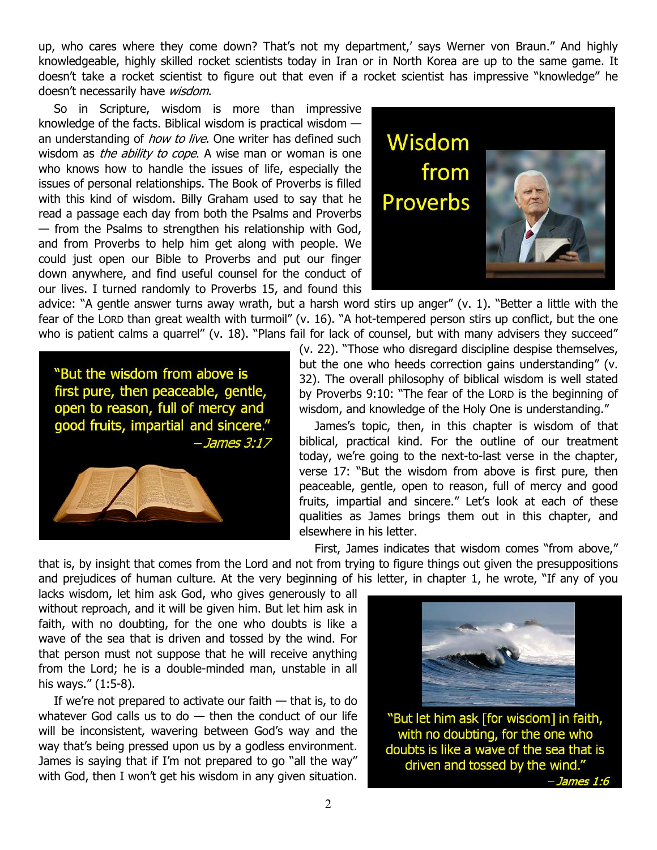up, who cares where they come down? That's not my department,' says Werner von Braun." And highly knowledgeable, highly skilled rocket scientists today in Iran or in North Korea are up to the same game. It doesn't take a rocket scientist to figure out that even if a rocket scientist has impressive "knowledge" he doesn't necessarily have wisdom.

So in Scripture, wisdom is more than impressive knowledge of the facts. Biblical wisdom is practical wisdom an understanding of *how to live*. One writer has defined such wisdom as the ability to cope. A wise man or woman is one who knows how to handle the issues of life, especially the issues of personal relationships. The Book of Proverbs is filled with this kind of wisdom. Billy Graham used to say that he read a passage each day from both the Psalms and Proverbs — from the Psalms to strengthen his relationship with God, and from Proverbs to help him get along with people. We could just open our Bible to Proverbs and put our finger down anywhere, and find useful counsel for the conduct of our lives. I turned randomly to Proverbs 15, and found this



advice: "A gentle answer turns away wrath, but a harsh word stirs up anger" (v. 1). "Better a little with the fear of the LORD than great wealth with turmoil" (v. 16). "A hot-tempered person stirs up conflict, but the one who is patient calms a quarrel" (v. 18). "Plans fail for lack of counsel, but with many advisers they succeed"

"But the wisdom from above is first pure, then peaceable, gentle, open to reason, full of mercy and good fruits, impartial and sincere."  $-James 3:17$ 



(v. 22). "Those who disregard discipline despise themselves, but the one who heeds correction gains understanding" (v. 32). The overall philosophy of biblical wisdom is well stated by Proverbs 9:10: "The fear of the LORD is the beginning of wisdom, and knowledge of the Holy One is understanding."

James's topic, then, in this chapter is wisdom of that biblical, practical kind. For the outline of our treatment today, we're going to the next-to-last verse in the chapter, verse 17: "But the wisdom from above is first pure, then peaceable, gentle, open to reason, full of mercy and good fruits, impartial and sincere." Let's look at each of these qualities as James brings them out in this chapter, and elsewhere in his letter.

First, James indicates that wisdom comes "from above," that is, by insight that comes from the Lord and not from trying to figure things out given the presuppositions and prejudices of human culture. At the very beginning of his letter, in chapter 1, he wrote, "If any of you

lacks wisdom, let him ask God, who gives generously to all without reproach, and it will be given him. But let him ask in faith, with no doubting, for the one who doubts is like a wave of the sea that is driven and tossed by the wind. For that person must not suppose that he will receive anything from the Lord; he is a double-minded man, unstable in all his ways." (1:5-8).

If we're not prepared to activate our faith — that is, to do whatever God calls us to do  $-$  then the conduct of our life will be inconsistent, wavering between God's way and the way that's being pressed upon us by a godless environment. James is saying that if I'm not prepared to go "all the way" with God, then I won't get his wisdom in any given situation.



"But let him ask [for wisdom] in faith, with no doubting, for the one who doubts is like a wave of the sea that is driven and tossed by the wind." *- James 1:6*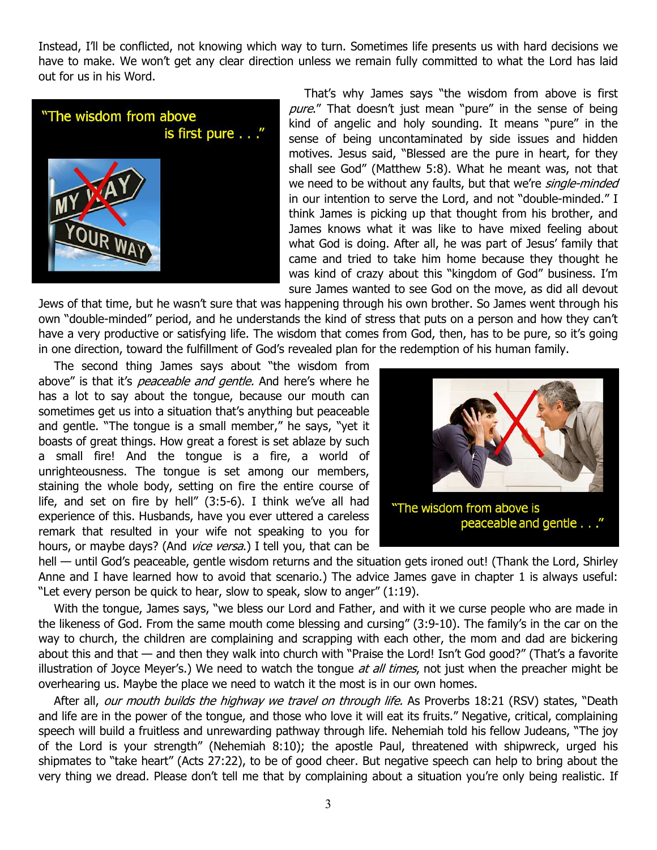Instead, I'll be conflicted, not knowing which way to turn. Sometimes life presents us with hard decisions we have to make. We won't get any clear direction unless we remain fully committed to what the Lord has laid out for us in his Word.



That's why James says "the wisdom from above is first pure." That doesn't just mean "pure" in the sense of being kind of angelic and holy sounding. It means "pure" in the sense of being uncontaminated by side issues and hidden motives. Jesus said, "Blessed are the pure in heart, for they shall see God" (Matthew 5:8). What he meant was, not that we need to be without any faults, but that we're *single-minded* in our intention to serve the Lord, and not "double-minded." I think James is picking up that thought from his brother, and James knows what it was like to have mixed feeling about what God is doing. After all, he was part of Jesus' family that came and tried to take him home because they thought he was kind of crazy about this "kingdom of God" business. I'm sure James wanted to see God on the move, as did all devout

Jews of that time, but he wasn't sure that was happening through his own brother. So James went through his own "double-minded" period, and he understands the kind of stress that puts on a person and how they can't have a very productive or satisfying life. The wisdom that comes from God, then, has to be pure, so it's going in one direction, toward the fulfillment of God's revealed plan for the redemption of his human family.

The second thing James says about "the wisdom from above" is that it's *peaceable and gentle*. And here's where he has a lot to say about the tongue, because our mouth can sometimes get us into a situation that's anything but peaceable and gentle. "The tongue is a small member," he says, "yet it boasts of great things. How great a forest is set ablaze by such a small fire! And the tongue is a fire, a world of unrighteousness. The tongue is set among our members, staining the whole body, setting on fire the entire course of life, and set on fire by hell" (3:5-6). I think we've all had experience of this. Husbands, have you ever uttered a careless remark that resulted in your wife not speaking to you for hours, or maybe days? (And *vice versa*.) I tell you, that can be



hell — until God's peaceable, gentle wisdom returns and the situation gets ironed out! (Thank the Lord, Shirley Anne and I have learned how to avoid that scenario.) The advice James gave in chapter 1 is always useful: "Let every person be quick to hear, slow to speak, slow to anger" (1:19).

With the tongue, James says, "we bless our Lord and Father, and with it we curse people who are made in the likeness of God. From the same mouth come blessing and cursing" (3:9-10). The family's in the car on the way to church, the children are complaining and scrapping with each other, the mom and dad are bickering about this and that — and then they walk into church with "Praise the Lord! Isn't God good?" (That's a favorite illustration of Joyce Meyer's.) We need to watch the tongue at all times, not just when the preacher might be overhearing us. Maybe the place we need to watch it the most is in our own homes.

After all, our mouth builds the highway we travel on through life. As Proverbs 18:21 (RSV) states, "Death and life are in the power of the tongue, and those who love it will eat its fruits." Negative, critical, complaining speech will build a fruitless and unrewarding pathway through life. Nehemiah told his fellow Judeans, "The joy of the Lord is your strength" (Nehemiah 8:10); the apostle Paul, threatened with shipwreck, urged his shipmates to "take heart" (Acts 27:22), to be of good cheer. But negative speech can help to bring about the very thing we dread. Please don't tell me that by complaining about a situation you're only being realistic. If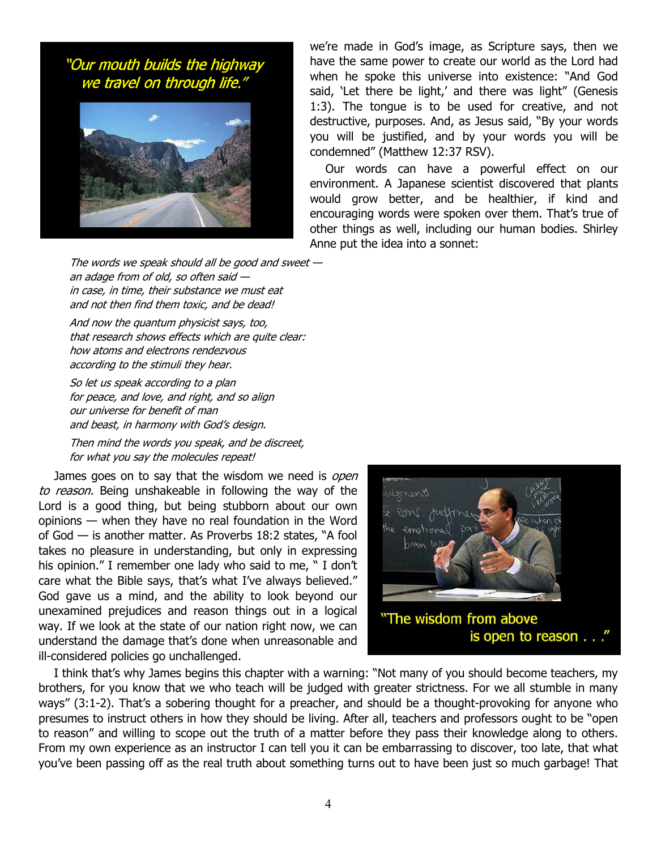"Our mouth builds the highway we travel on through life."



we're made in God's image, as Scripture says, then we have the same power to create our world as the Lord had when he spoke this universe into existence: "And God said, 'Let there be light,' and there was light" (Genesis 1:3). The tongue is to be used for creative, and not destructive, purposes. And, as Jesus said, "By your words you will be justified, and by your words you will be condemned" (Matthew 12:37 RSV).

Our words can have a powerful effect on our environment. A Japanese scientist discovered that plants would grow better, and be healthier, if kind and encouraging words were spoken over them. That's true of other things as well, including our human bodies. Shirley Anne put the idea into a sonnet:

The words we speak should all be good and sweet  $$ an adage from of old, so often said in case, in time, their substance we must eat and not then find them toxic, and be dead!

And now the quantum physicist says, too, that research shows effects which are quite clear: how atoms and electrons rendezvous according to the stimuli they hear.

So let us speak according to a plan for peace, and love, and right, and so align our universe for benefit of man and beast, in harmony with God's design.

Then mind the words you speak, and be discreet, for what you say the molecules repeat!

James goes on to say that the wisdom we need is open to reason. Being unshakeable in following the way of the Lord is a good thing, but being stubborn about our own opinions — when they have no real foundation in the Word of God — is another matter. As Proverbs 18:2 states, "A fool takes no pleasure in understanding, but only in expressing his opinion." I remember one lady who said to me, " I don't care what the Bible says, that's what I've always believed." God gave us a mind, and the ability to look beyond our unexamined prejudices and reason things out in a logical way. If we look at the state of our nation right now, we can understand the damage that's done when unreasonable and ill-considered policies go unchallenged.



I think that's why James begins this chapter with a warning: "Not many of you should become teachers, my brothers, for you know that we who teach will be judged with greater strictness. For we all stumble in many ways" (3:1-2). That's a sobering thought for a preacher, and should be a thought-provoking for anyone who presumes to instruct others in how they should be living. After all, teachers and professors ought to be "open to reason" and willing to scope out the truth of a matter before they pass their knowledge along to others. From my own experience as an instructor I can tell you it can be embarrassing to discover, too late, that what you've been passing off as the real truth about something turns out to have been just so much garbage! That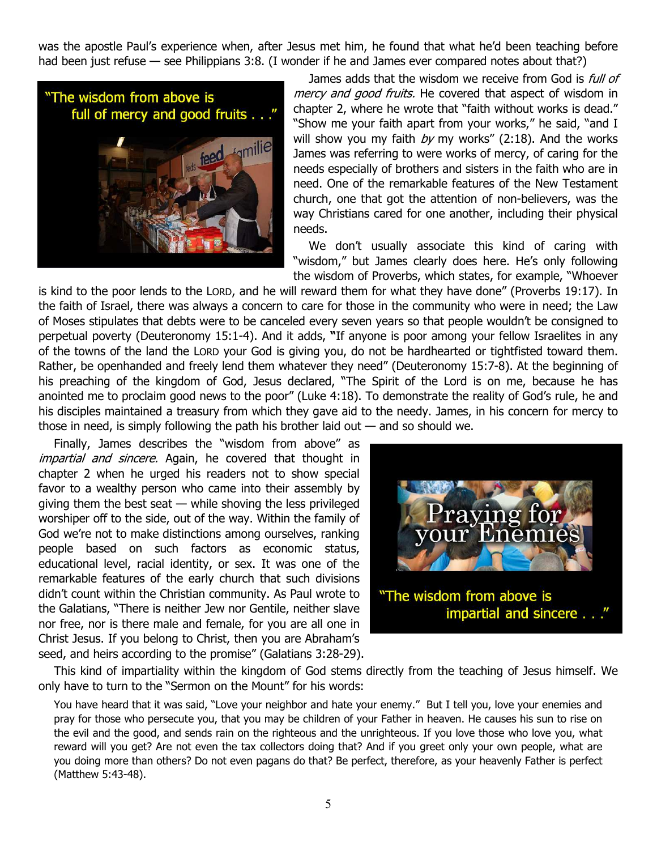was the apostle Paul's experience when, after Jesus met him, he found that what he'd been teaching before had been just refuse — see Philippians 3:8. (I wonder if he and James ever compared notes about that?)



James adds that the wisdom we receive from God is *full of* mercy and good fruits. He covered that aspect of wisdom in chapter 2, where he wrote that "faith without works is dead." "Show me your faith apart from your works," he said, "and I will show you my faith  $by$  my works" (2:18). And the works James was referring to were works of mercy, of caring for the needs especially of brothers and sisters in the faith who are in need. One of the remarkable features of the New Testament church, one that got the attention of non-believers, was the way Christians cared for one another, including their physical needs.

We don't usually associate this kind of caring with "wisdom," but James clearly does here. He's only following the wisdom of Proverbs, which states, for example, "Whoever

is kind to the poor lends to the LORD, and he will reward them for what they have done" (Proverbs 19:17). In the faith of Israel, there was always a concern to care for those in the community who were in need; the Law of Moses stipulates that debts were to be canceled every seven years so that people wouldn't be consigned to perpetual poverty (Deuteronomy 15:1-4). And it adds, **"**If anyone is poor among your fellow Israelites in any of the towns of the land the LORD your God is giving you, do not be hardhearted or tightfisted toward them. Rather, be openhanded and freely lend them whatever they need" (Deuteronomy 15:7-8). At the beginning of his preaching of the kingdom of God, Jesus declared, "The Spirit of the Lord is on me, because he has anointed me to proclaim good news to the poor" (Luke 4:18). To demonstrate the reality of God's rule, he and his disciples maintained a treasury from which they gave aid to the needy. James, in his concern for mercy to those in need, is simply following the path his brother laid out  $-$  and so should we.

Finally, James describes the "wisdom from above" as impartial and sincere. Again, he covered that thought in chapter 2 when he urged his readers not to show special favor to a wealthy person who came into their assembly by giving them the best seat — while shoving the less privileged worshiper off to the side, out of the way. Within the family of God we're not to make distinctions among ourselves, ranking people based on such factors as economic status, educational level, racial identity, or sex. It was one of the remarkable features of the early church that such divisions didn't count within the Christian community. As Paul wrote to the Galatians, "There is neither Jew nor Gentile, neither slave nor free, nor is there male and female, for you are all one in Christ Jesus. If you belong to Christ, then you are Abraham's seed, and heirs according to the promise" (Galatians 3:28-29).



This kind of impartiality within the kingdom of God stems directly from the teaching of Jesus himself. We only have to turn to the "Sermon on the Mount" for his words:

You have heard that it was said, "Love your neighbor and hate your enemy." But I tell you, love your enemies and pray for those who persecute you, that you may be children of your Father in heaven. He causes his sun to rise on the evil and the good, and sends rain on the righteous and the unrighteous. If you love those who love you, what reward will you get? Are not even the tax collectors doing that? And if you greet only your own people, what are you doing more than others? Do not even pagans do that? Be perfect, therefore, as your heavenly Father is perfect (Matthew 5:43-48).